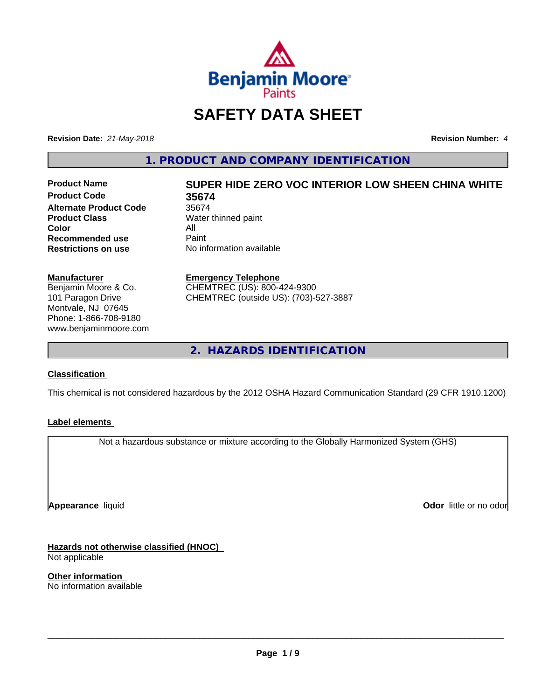

# **SAFETY DATA SHEET**

**Revision Date:** *21-May-2018* **Revision Number:** *4*

**1. PRODUCT AND COMPANY IDENTIFICATION**

**Product Code 35674 Alternate Product Code** 35674<br> **Product Class** Water **Color** All<br> **Recommended use** Paint **Recommended use**<br>Restrictions on use

# **Product Name SUPER HIDE ZERO VOC INTERIOR LOW SHEEN CHINA WHITE**

**Water thinned paint No information available** 

#### **Manufacturer**

Benjamin Moore & Co. 101 Paragon Drive Montvale, NJ 07645 Phone: 1-866-708-9180 www.benjaminmoore.com

#### **Emergency Telephone**

CHEMTREC (US): 800-424-9300 CHEMTREC (outside US): (703)-527-3887

**2. HAZARDS IDENTIFICATION**

# **Classification**

This chemical is not considered hazardous by the 2012 OSHA Hazard Communication Standard (29 CFR 1910.1200)

# **Label elements**

Not a hazardous substance or mixture according to the Globally Harmonized System (GHS)

**Appearance** liquid

**Odor** little or no odor

**Hazards not otherwise classified (HNOC)** Not applicable

**Other information** No information available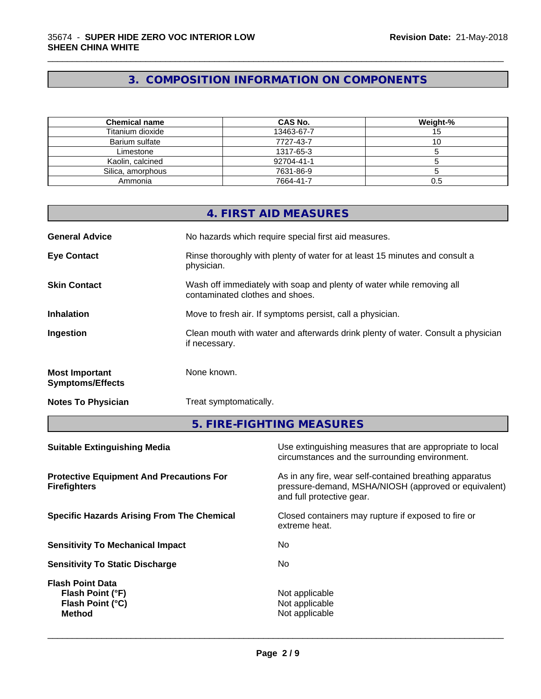# **3. COMPOSITION INFORMATION ON COMPONENTS**

\_\_\_\_\_\_\_\_\_\_\_\_\_\_\_\_\_\_\_\_\_\_\_\_\_\_\_\_\_\_\_\_\_\_\_\_\_\_\_\_\_\_\_\_\_\_\_\_\_\_\_\_\_\_\_\_\_\_\_\_\_\_\_\_\_\_\_\_\_\_\_\_\_\_\_\_\_\_\_\_\_\_\_\_\_\_\_\_\_\_\_\_\_

| <b>Chemical name</b> | <b>CAS No.</b> | Weight-% |
|----------------------|----------------|----------|
| Titanium dioxide     | 13463-67-7     | ر ا      |
| Barium sulfate       | 7727-43-7      |          |
| Limestone            | 1317-65-3      |          |
| Kaolin, calcined     | 92704-41-1     |          |
| Silica, amorphous    | 7631-86-9      |          |
| Ammonia              | 7664-41-7      | 0.5      |

|                                                  | 4. FIRST AID MEASURES                                                                                    |
|--------------------------------------------------|----------------------------------------------------------------------------------------------------------|
| <b>General Advice</b>                            | No hazards which require special first aid measures.                                                     |
| <b>Eye Contact</b>                               | Rinse thoroughly with plenty of water for at least 15 minutes and consult a<br>physician.                |
| <b>Skin Contact</b>                              | Wash off immediately with soap and plenty of water while removing all<br>contaminated clothes and shoes. |
| <b>Inhalation</b>                                | Move to fresh air. If symptoms persist, call a physician.                                                |
| Ingestion                                        | Clean mouth with water and afterwards drink plenty of water. Consult a physician<br>if necessary.        |
| <b>Most Important</b><br><b>Symptoms/Effects</b> | None known.                                                                                              |
| <b>Notes To Physician</b>                        | Treat symptomatically.                                                                                   |

**5. FIRE-FIGHTING MEASURES**

| Use extinguishing measures that are appropriate to local<br>circumstances and the surrounding environment.                                   |
|----------------------------------------------------------------------------------------------------------------------------------------------|
| As in any fire, wear self-contained breathing apparatus<br>pressure-demand, MSHA/NIOSH (approved or equivalent)<br>and full protective gear. |
| Closed containers may rupture if exposed to fire or<br>extreme heat.                                                                         |
| No.                                                                                                                                          |
| No.                                                                                                                                          |
| Not applicable<br>Not applicable<br>Not applicable                                                                                           |
|                                                                                                                                              |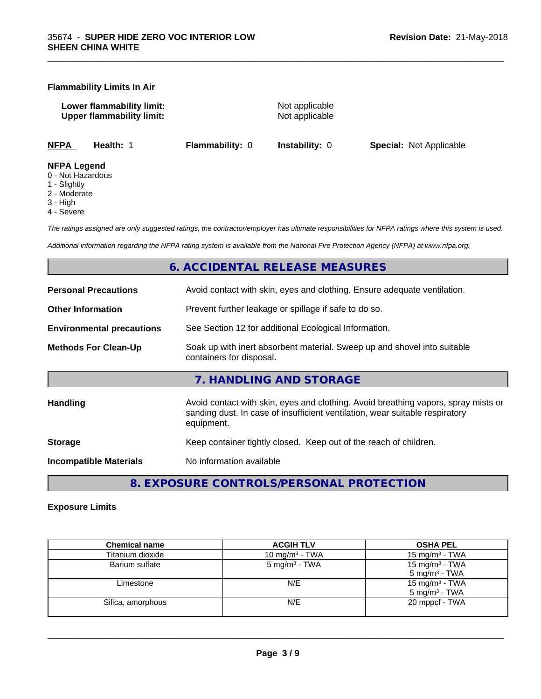#### **Flammability Limits In Air**

**Lower flammability limit:**<br>
Upper flammability limit:<br>
Upper flammability limit:<br>
Not applicable **Upper flammability limit:** 

\_\_\_\_\_\_\_\_\_\_\_\_\_\_\_\_\_\_\_\_\_\_\_\_\_\_\_\_\_\_\_\_\_\_\_\_\_\_\_\_\_\_\_\_\_\_\_\_\_\_\_\_\_\_\_\_\_\_\_\_\_\_\_\_\_\_\_\_\_\_\_\_\_\_\_\_\_\_\_\_\_\_\_\_\_\_\_\_\_\_\_\_\_

**NFPA Health:** 1 **Flammability:** 0 **Instability:** 0 **Special:** Not Applicable

#### **NFPA Legend**

- 0 Not Hazardous
- 1 Slightly
- 2 Moderate
- 3 High
- 4 Severe

*The ratings assigned are only suggested ratings, the contractor/employer has ultimate responsibilities for NFPA ratings where this system is used.*

*Additional information regarding the NFPA rating system is available from the National Fire Protection Agency (NFPA) at www.nfpa.org.*

# **6. ACCIDENTAL RELEASE MEASURES**

| <b>Personal Precautions</b>      | Avoid contact with skin, eyes and clothing. Ensure adequate ventilation.                                                                                                         |  |  |
|----------------------------------|----------------------------------------------------------------------------------------------------------------------------------------------------------------------------------|--|--|
| <b>Other Information</b>         | Prevent further leakage or spillage if safe to do so.                                                                                                                            |  |  |
| <b>Environmental precautions</b> | See Section 12 for additional Ecological Information.                                                                                                                            |  |  |
| <b>Methods For Clean-Up</b>      | Soak up with inert absorbent material. Sweep up and shovel into suitable<br>containers for disposal.                                                                             |  |  |
|                                  | 7. HANDLING AND STORAGE                                                                                                                                                          |  |  |
| Handling                         | Avoid contact with skin, eyes and clothing. Avoid breathing vapors, spray mists or<br>sanding dust. In case of insufficient ventilation, wear suitable respiratory<br>equipment. |  |  |
| <b>Storage</b>                   | Keep container tightly closed. Keep out of the reach of children.                                                                                                                |  |  |
| <b>Incompatible Materials</b>    | No information available                                                                                                                                                         |  |  |
|                                  |                                                                                                                                                                                  |  |  |

**8. EXPOSURE CONTROLS/PERSONAL PROTECTION**

# **Exposure Limits**

| <b>Chemical name</b> | <b>ACGIH TLV</b>          | <b>OSHA PEL</b>            |
|----------------------|---------------------------|----------------------------|
| Titanium dioxide     | 10 mg/m $3$ - TWA         | 15 mg/m $3$ - TWA          |
| Barium sulfate       | 5 mg/m <sup>3</sup> - TWA | 15 mg/m <sup>3</sup> - TWA |
|                      |                           | $5 \text{ mg/m}^3$ - TWA   |
| Limestone            | N/E                       | 15 mg/m <sup>3</sup> - TWA |
|                      |                           | $5 \text{ mg/m}^3$ - TWA   |
| Silica, amorphous    | N/E                       | 20 mppcf - TWA             |
|                      |                           |                            |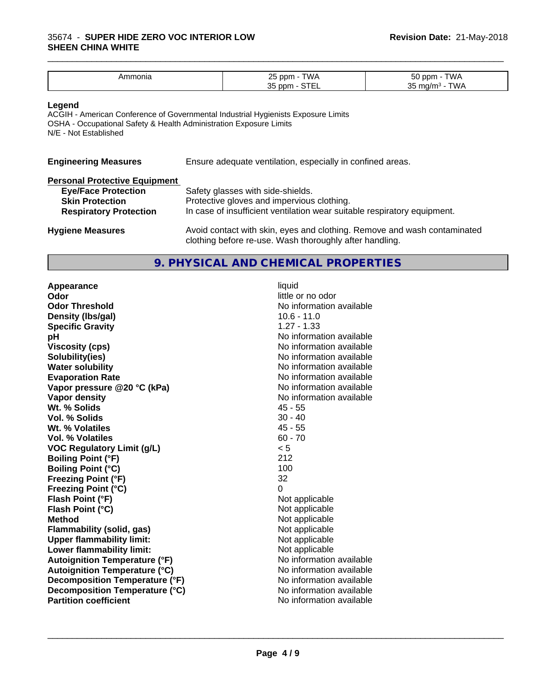| าบทเล<br><b>1111</b> | TWA<br>つに<br>ppm ر<br>້               | $ \sim$<br>ת ר<br>vv <i>r</i> |
|----------------------|---------------------------------------|-------------------------------|
|                      | $\sim$ $ -$<br>つに<br>. nnm<br>◡<br>-- | $\sim$<br>ື                   |

\_\_\_\_\_\_\_\_\_\_\_\_\_\_\_\_\_\_\_\_\_\_\_\_\_\_\_\_\_\_\_\_\_\_\_\_\_\_\_\_\_\_\_\_\_\_\_\_\_\_\_\_\_\_\_\_\_\_\_\_\_\_\_\_\_\_\_\_\_\_\_\_\_\_\_\_\_\_\_\_\_\_\_\_\_\_\_\_\_\_\_\_\_

#### **Legend**

ACGIH - American Conference of Governmental Industrial Hygienists Exposure Limits OSHA - Occupational Safety & Health Administration Exposure Limits N/E - Not Established

| <b>Engineering Measures</b>          | Ensure adequate ventilation, especially in confined areas.                                                                          |  |  |
|--------------------------------------|-------------------------------------------------------------------------------------------------------------------------------------|--|--|
| <b>Personal Protective Equipment</b> |                                                                                                                                     |  |  |
| <b>Eye/Face Protection</b>           | Safety glasses with side-shields.                                                                                                   |  |  |
| <b>Skin Protection</b>               | Protective gloves and impervious clothing.                                                                                          |  |  |
| <b>Respiratory Protection</b>        | In case of insufficient ventilation wear suitable respiratory equipment.                                                            |  |  |
| <b>Hygiene Measures</b>              | Avoid contact with skin, eyes and clothing. Remove and wash contaminated<br>clothing before re-use. Wash thoroughly after handling. |  |  |

# **9. PHYSICAL AND CHEMICAL PROPERTIES**

**Appearance** liquid **Odor Odor** little or no odor<br> **Odor Threshold Containery of the Containery of the Containery of the Containery of the Containery of the Contain Density (lbs/gal)** 10.6 - 11.0 **Specific Gravity** 1.27 - 1.33 **pH pH**  $\blacksquare$ **Viscosity (cps)** No information available **Solubility(ies)** No information available in the solution of the solution of the solution available in the solution of the solution of the solution of the solution of the solution of the solution of the solution of the so **Water solubility** No information available **Evaporation Rate** Note 2008 and 2009 No information available **Vapor pressure @20 °C (kPa)** No information available **Vapor density Vapor** density **Wt. % Solids** 45 - 55 **Vol. % Solids** 30 - 40<br> **Wt. % Volatiles** 30 - 45 Wt. % Volatiles **Vol. % Volatiles** 60 - 70 **VOC Regulatory Limit (g/L)** < 5 **Boiling Point (°F)** 212 **Boiling Point (°C)** 100 **Freezing Point (°F)** 32 **Freezing Point (°C)** 0 **Flash Point (°F)**<br> **Flash Point (°C)**<br> **Flash Point (°C)**<br> **Not** applicable<br>
Not applicable **Flash Point (°C) Method** Not applicable **Flammability (solid, gas)**<br> **Commability limit:**<br>
Upper flammability limit:<br>
Not applicable **Upper flammability limit:**<br> **Lower flammability limit:**<br>
Not applicable<br>
Not applicable **Lower flammability limit: Autoignition Temperature (°F)**<br> **Autoignition Temperature (°C)** No information available **Autoignition Temperature (°C) Decomposition Temperature (°F)** No information available **Decomposition Temperature (°C)**<br> **Partition coefficient**<br> **Partition coefficient**<br> **No** information available

**No information available No information available**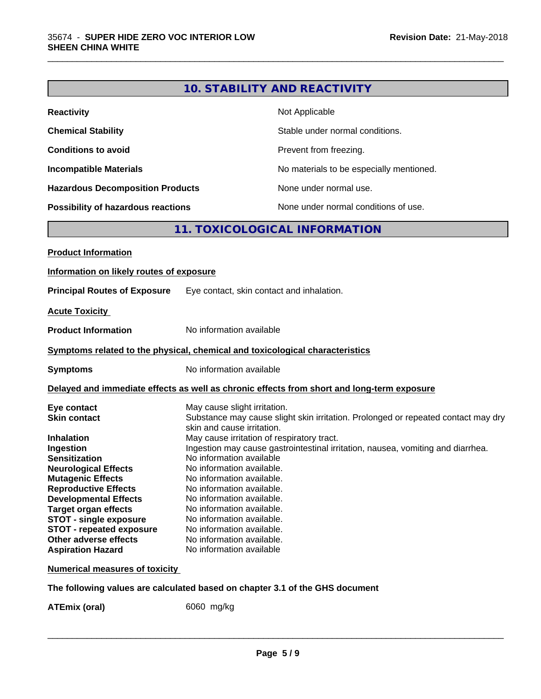|                                                                                                                                                                                                                                                                                                                     |                                                                                                                                                                                                                                                                                             | <b>10. STABILITY AND REACTIVITY</b>                                                                                             |
|---------------------------------------------------------------------------------------------------------------------------------------------------------------------------------------------------------------------------------------------------------------------------------------------------------------------|---------------------------------------------------------------------------------------------------------------------------------------------------------------------------------------------------------------------------------------------------------------------------------------------|---------------------------------------------------------------------------------------------------------------------------------|
| <b>Reactivity</b>                                                                                                                                                                                                                                                                                                   |                                                                                                                                                                                                                                                                                             | Not Applicable                                                                                                                  |
| <b>Chemical Stability</b>                                                                                                                                                                                                                                                                                           |                                                                                                                                                                                                                                                                                             | Stable under normal conditions.                                                                                                 |
| <b>Conditions to avoid</b>                                                                                                                                                                                                                                                                                          |                                                                                                                                                                                                                                                                                             | Prevent from freezing.                                                                                                          |
| <b>Incompatible Materials</b>                                                                                                                                                                                                                                                                                       |                                                                                                                                                                                                                                                                                             | No materials to be especially mentioned.                                                                                        |
| <b>Hazardous Decomposition Products</b>                                                                                                                                                                                                                                                                             |                                                                                                                                                                                                                                                                                             | None under normal use.                                                                                                          |
| Possibility of hazardous reactions                                                                                                                                                                                                                                                                                  |                                                                                                                                                                                                                                                                                             | None under normal conditions of use.                                                                                            |
|                                                                                                                                                                                                                                                                                                                     |                                                                                                                                                                                                                                                                                             | 11. TOXICOLOGICAL INFORMATION                                                                                                   |
| <b>Product Information</b>                                                                                                                                                                                                                                                                                          |                                                                                                                                                                                                                                                                                             |                                                                                                                                 |
| Information on likely routes of exposure                                                                                                                                                                                                                                                                            |                                                                                                                                                                                                                                                                                             |                                                                                                                                 |
| <b>Principal Routes of Exposure</b>                                                                                                                                                                                                                                                                                 |                                                                                                                                                                                                                                                                                             | Eye contact, skin contact and inhalation.                                                                                       |
| <b>Acute Toxicity</b>                                                                                                                                                                                                                                                                                               |                                                                                                                                                                                                                                                                                             |                                                                                                                                 |
| <b>Product Information</b>                                                                                                                                                                                                                                                                                          | No information available                                                                                                                                                                                                                                                                    |                                                                                                                                 |
| Symptoms related to the physical, chemical and toxicological characteristics                                                                                                                                                                                                                                        |                                                                                                                                                                                                                                                                                             |                                                                                                                                 |
| <b>Symptoms</b>                                                                                                                                                                                                                                                                                                     | No information available                                                                                                                                                                                                                                                                    |                                                                                                                                 |
|                                                                                                                                                                                                                                                                                                                     |                                                                                                                                                                                                                                                                                             | Delayed and immediate effects as well as chronic effects from short and long-term exposure                                      |
| Eye contact<br><b>Skin contact</b><br><b>Inhalation</b>                                                                                                                                                                                                                                                             | May cause slight irritation.<br>skin and cause irritation.                                                                                                                                                                                                                                  | Substance may cause slight skin irritation. Prolonged or repeated contact may dry<br>May cause irritation of respiratory tract. |
| Ingestion<br><b>Sensitization</b><br><b>Neurological Effects</b><br><b>Mutagenic Effects</b><br><b>Reproductive Effects</b><br><b>Developmental Effects</b><br><b>Target organ effects</b><br><b>STOT - single exposure</b><br><b>STOT - repeated exposure</b><br>Other adverse effects<br><b>Aspiration Hazard</b> | No information available<br>No information available<br>No information available.<br>No information available.<br>No information available.<br>No information available.<br>No information available.<br>No information available.<br>No information available.<br>No information available | Ingestion may cause gastrointestinal irritation, nausea, vomiting and diarrhea.                                                 |
| <b>Numerical measures of toxicity</b>                                                                                                                                                                                                                                                                               |                                                                                                                                                                                                                                                                                             |                                                                                                                                 |
|                                                                                                                                                                                                                                                                                                                     |                                                                                                                                                                                                                                                                                             |                                                                                                                                 |

\_\_\_\_\_\_\_\_\_\_\_\_\_\_\_\_\_\_\_\_\_\_\_\_\_\_\_\_\_\_\_\_\_\_\_\_\_\_\_\_\_\_\_\_\_\_\_\_\_\_\_\_\_\_\_\_\_\_\_\_\_\_\_\_\_\_\_\_\_\_\_\_\_\_\_\_\_\_\_\_\_\_\_\_\_\_\_\_\_\_\_\_\_

**The following values are calculated based on chapter 3.1 of the GHS document**

**ATEmix (oral)** 6060 mg/kg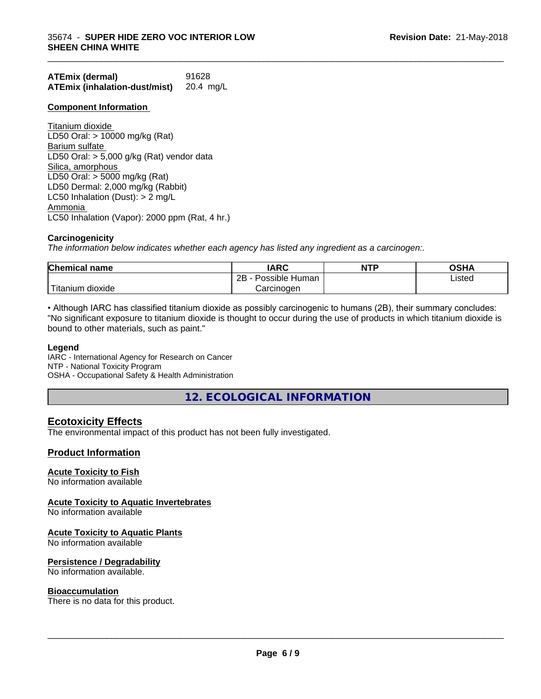| <b>ATEmix (dermal)</b>               | 91628     |
|--------------------------------------|-----------|
| <b>ATEmix (inhalation-dust/mist)</b> | 20.4 mg/L |

#### **Component Information**

Titanium dioxide LD50 Oral: > 10000 mg/kg (Rat) Barium sulfate LD50 Oral:  $> 5,000$  g/kg (Rat) vendor data Silica, amorphous LD50 Oral: > 5000 mg/kg (Rat) LD50 Dermal: 2,000 mg/kg (Rabbit) LC50 Inhalation (Dust): > 2 mg/L Ammonia LC50 Inhalation (Vapor): 2000 ppm (Rat, 4 hr.)

#### **Carcinogenicity**

*The information below indicateswhether each agency has listed any ingredient as a carcinogen:.*

| <b>Chemical name</b>   | <b>IARC</b>                   | <b>NTP</b> | <b>OSHA</b> |  |
|------------------------|-------------------------------|------------|-------------|--|
|                        | .<br>2Β<br>Possible<br>⊤Human |            | Listed      |  |
| `Titanium 、<br>dioxide | Carcinoɑen                    |            |             |  |

\_\_\_\_\_\_\_\_\_\_\_\_\_\_\_\_\_\_\_\_\_\_\_\_\_\_\_\_\_\_\_\_\_\_\_\_\_\_\_\_\_\_\_\_\_\_\_\_\_\_\_\_\_\_\_\_\_\_\_\_\_\_\_\_\_\_\_\_\_\_\_\_\_\_\_\_\_\_\_\_\_\_\_\_\_\_\_\_\_\_\_\_\_

• Although IARC has classified titanium dioxide as possibly carcinogenic to humans (2B), their summary concludes: "No significant exposure to titanium dioxide is thought to occur during the use of products in which titanium dioxide is bound to other materials, such as paint."

#### **Legend**

IARC - International Agency for Research on Cancer NTP - National Toxicity Program OSHA - Occupational Safety & Health Administration

**12. ECOLOGICAL INFORMATION**

# **Ecotoxicity Effects**

The environmental impact of this product has not been fully investigated.

#### **Product Information**

#### **Acute Toxicity to Fish**

No information available

#### **Acute Toxicity to Aquatic Invertebrates**

No information available

#### **Acute Toxicity to Aquatic Plants**

No information available

#### **Persistence / Degradability**

No information available.

#### **Bioaccumulation**

There is no data for this product.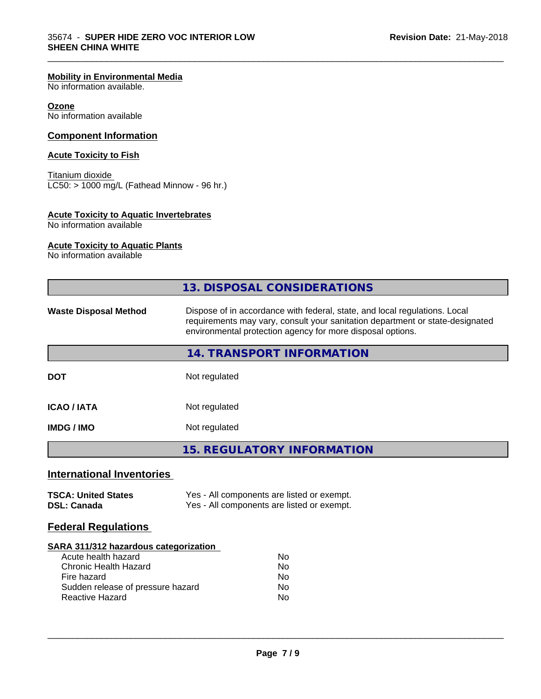#### **Mobility in Environmental Media**

No information available.

#### **Ozone**

No information available

#### **Component Information**

#### **Acute Toxicity to Fish**

Titanium dioxide  $\overline{\text{LC50:}}$  > 1000 mg/L (Fathead Minnow - 96 hr.)

#### **Acute Toxicity to Aquatic Invertebrates**

No information available

#### **Acute Toxicity to Aquatic Plants**

No information available

|                                                                                                                                                                            | 13. DISPOSAL CONSIDERATIONS                                                                                                                                                                                               |
|----------------------------------------------------------------------------------------------------------------------------------------------------------------------------|---------------------------------------------------------------------------------------------------------------------------------------------------------------------------------------------------------------------------|
| <b>Waste Disposal Method</b>                                                                                                                                               | Dispose of in accordance with federal, state, and local regulations. Local<br>requirements may vary, consult your sanitation department or state-designated<br>environmental protection agency for more disposal options. |
|                                                                                                                                                                            | 14. TRANSPORT INFORMATION                                                                                                                                                                                                 |
| <b>DOT</b>                                                                                                                                                                 | Not regulated                                                                                                                                                                                                             |
| <b>ICAO/IATA</b>                                                                                                                                                           | Not regulated                                                                                                                                                                                                             |
| <b>IMDG / IMO</b>                                                                                                                                                          | Not regulated                                                                                                                                                                                                             |
|                                                                                                                                                                            | <b>15. REGULATORY INFORMATION</b>                                                                                                                                                                                         |
| <b>International Inventories</b>                                                                                                                                           |                                                                                                                                                                                                                           |
| <b>TSCA: United States</b><br><b>DSL: Canada</b>                                                                                                                           | Yes - All components are listed or exempt.<br>Yes - All components are listed or exempt.                                                                                                                                  |
| <b>Federal Regulations</b>                                                                                                                                                 |                                                                                                                                                                                                                           |
| SARA 311/312 hazardous categorization<br>Acute health hazard<br><b>Chronic Health Hazard</b><br>Fire hazard<br>Sudden release of pressure hazard<br><b>Reactive Hazard</b> | No<br>No<br>No<br>No<br>No                                                                                                                                                                                                |
|                                                                                                                                                                            |                                                                                                                                                                                                                           |

\_\_\_\_\_\_\_\_\_\_\_\_\_\_\_\_\_\_\_\_\_\_\_\_\_\_\_\_\_\_\_\_\_\_\_\_\_\_\_\_\_\_\_\_\_\_\_\_\_\_\_\_\_\_\_\_\_\_\_\_\_\_\_\_\_\_\_\_\_\_\_\_\_\_\_\_\_\_\_\_\_\_\_\_\_\_\_\_\_\_\_\_\_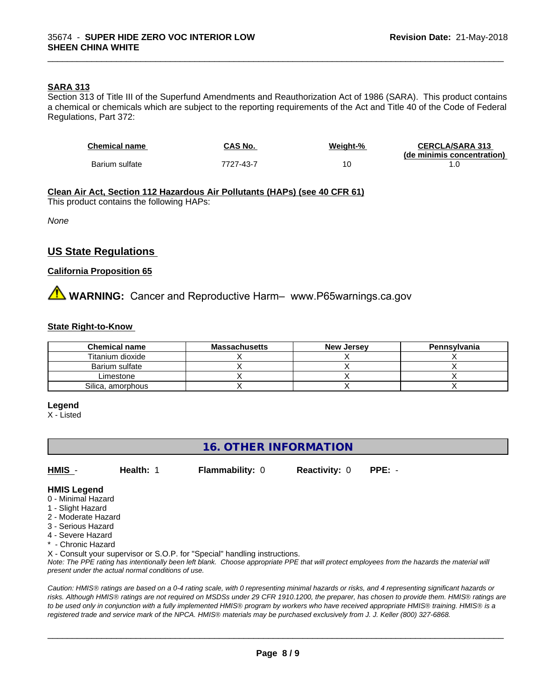#### **SARA 313**

Section 313 of Title III of the Superfund Amendments and Reauthorization Act of 1986 (SARA). This product contains a chemical or chemicals which are subject to the reporting requirements of the Act and Title 40 of the Code of Federal Regulations, Part 372:

| <b>Chemical name</b> | CAS No.   | Weight-% | <b>CERCLA/SARA 313</b>     |
|----------------------|-----------|----------|----------------------------|
|                      |           |          | (de minimis concentration) |
| Barium sulfate       | 7727-43-7 |          |                            |

\_\_\_\_\_\_\_\_\_\_\_\_\_\_\_\_\_\_\_\_\_\_\_\_\_\_\_\_\_\_\_\_\_\_\_\_\_\_\_\_\_\_\_\_\_\_\_\_\_\_\_\_\_\_\_\_\_\_\_\_\_\_\_\_\_\_\_\_\_\_\_\_\_\_\_\_\_\_\_\_\_\_\_\_\_\_\_\_\_\_\_\_\_

**Clean Air Act,Section 112 Hazardous Air Pollutants (HAPs) (see 40 CFR 61)** This product contains the following HAPs:

*None*

# **US State Regulations**

#### **California Proposition 65**

**A** WARNING: Cancer and Reproductive Harm– www.P65warnings.ca.gov

#### **State Right-to-Know**

| <b>Chemical name</b> | <b>Massachusetts</b> | <b>New Jersey</b> | Pennsylvania |
|----------------------|----------------------|-------------------|--------------|
| Titanium dioxide     |                      |                   |              |
| Barium sulfate       |                      |                   |              |
| Limestone            |                      |                   |              |
| Silica, amorphous    |                      |                   |              |

#### **Legend**

X - Listed

# **16. OTHER INFORMATION**

**HMIS** - **Health:** 1 **Flammability:** 0 **Reactivity:** 0 **PPE:** -

#### **HMIS Legend**

- 0 Minimal Hazard
- 1 Slight Hazard
- 2 Moderate Hazard
- 3 Serious Hazard
- 4 Severe Hazard
- \* Chronic Hazard

X - Consult your supervisor or S.O.P. for "Special" handling instructions.

*Note: The PPE rating has intentionally been left blank. Choose appropriate PPE that will protect employees from the hazards the material will present under the actual normal conditions of use.*

*Caution: HMISÒ ratings are based on a 0-4 rating scale, with 0 representing minimal hazards or risks, and 4 representing significant hazards or risks. Although HMISÒ ratings are not required on MSDSs under 29 CFR 1910.1200, the preparer, has chosen to provide them. HMISÒ ratings are to be used only in conjunction with a fully implemented HMISÒ program by workers who have received appropriate HMISÒ training. HMISÒ is a registered trade and service mark of the NPCA. HMISÒ materials may be purchased exclusively from J. J. Keller (800) 327-6868.*